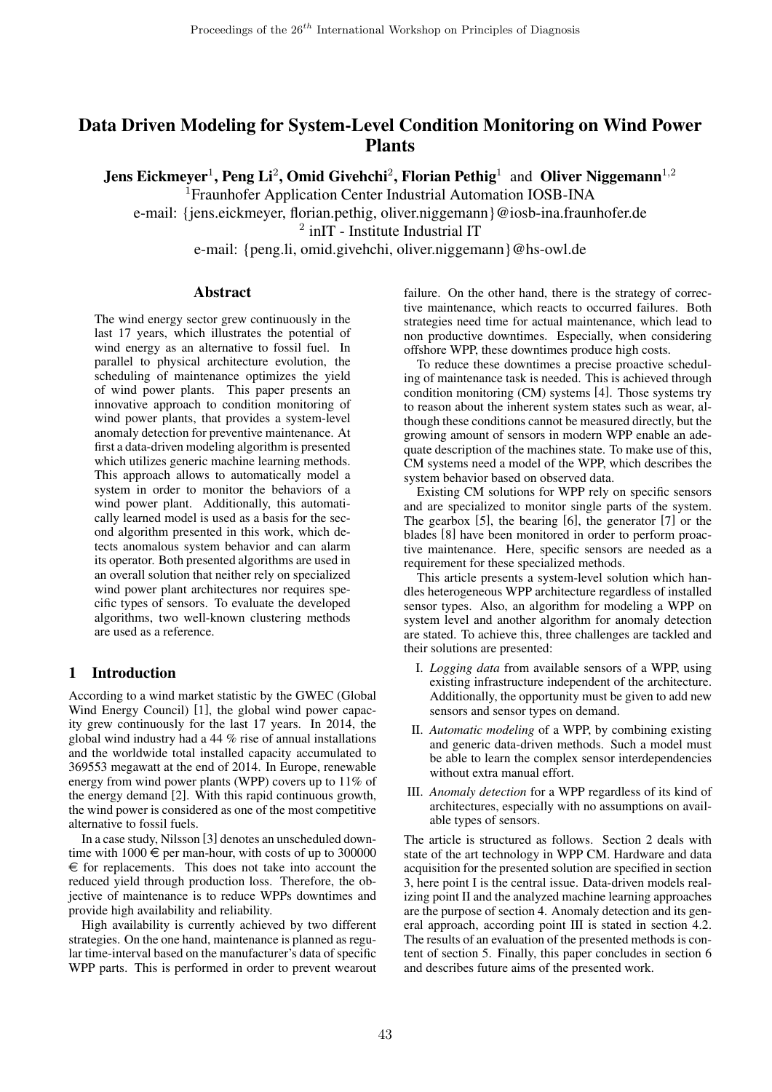# Data Driven Modeling for System-Level Condition Monitoring on Wind Power Plants

Jens Eickmeyer<sup>1</sup>, Peng Li<sup>2</sup>, Omid Givehchi<sup>2</sup>, Florian Pethig<sup>1</sup> and Oliver Niggemann<sup>1,2</sup>

<sup>1</sup> Fraunhofer Application Center Industrial Automation IOSB-INA

e-mail: {jens.eickmeyer, florian.pethig, oliver.niggemann}@iosb-ina.fraunhofer.de

<sup>2</sup> inIT - Institute Industrial IT

e-mail: {peng.li, omid.givehchi, oliver.niggemann}@hs-owl.de

## Abstract

The wind energy sector grew continuously in the last 17 years, which illustrates the potential of wind energy as an alternative to fossil fuel. In parallel to physical architecture evolution, the scheduling of maintenance optimizes the yield of wind power plants. This paper presents an innovative approach to condition monitoring of wind power plants, that provides a system-level anomaly detection for preventive maintenance. At first a data-driven modeling algorithm is presented which utilizes generic machine learning methods. This approach allows to automatically model a system in order to monitor the behaviors of a wind power plant. Additionally, this automatically learned model is used as a basis for the second algorithm presented in this work, which detects anomalous system behavior and can alarm its operator. Both presented algorithms are used in an overall solution that neither rely on specialized wind power plant architectures nor requires specific types of sensors. To evaluate the developed algorithms, two well-known clustering methods are used as a reference.

## 1 Introduction

According to a wind market statistic by the GWEC (Global Wind Energy Council) [1], the global wind power capacity grew continuously for the last 17 years. In 2014, the global wind industry had a 44 % rise of annual installations and the worldwide total installed capacity accumulated to 369553 megawatt at the end of 2014. In Europe, renewable energy from wind power plants (WPP) covers up to 11% of the energy demand [2]. With this rapid continuous growth, the wind power is considered as one of the most competitive alternative to fossil fuels.

In a case study, Nilsson [3] denotes an unscheduled downtime with  $1000 \in \text{per man-hour}$ , with costs of up to 300000  $\epsilon$  for replacements. This does not take into account the reduced yield through production loss. Therefore, the objective of maintenance is to reduce WPPs downtimes and provide high availability and reliability.

High availability is currently achieved by two different strategies. On the one hand, maintenance is planned as regular time-interval based on the manufacturer's data of specific WPP parts. This is performed in order to prevent wearout failure. On the other hand, there is the strategy of corrective maintenance, which reacts to occurred failures. Both strategies need time for actual maintenance, which lead to non productive downtimes. Especially, when considering offshore WPP, these downtimes produce high costs.

To reduce these downtimes a precise proactive scheduling of maintenance task is needed. This is achieved through condition monitoring (CM) systems [4]. Those systems try to reason about the inherent system states such as wear, although these conditions cannot be measured directly, but the growing amount of sensors in modern WPP enable an adequate description of the machines state. To make use of this, CM systems need a model of the WPP, which describes the system behavior based on observed data.

Existing CM solutions for WPP rely on specific sensors and are specialized to monitor single parts of the system. The gearbox [5], the bearing [6], the generator [7] or the blades [8] have been monitored in order to perform proactive maintenance. Here, specific sensors are needed as a requirement for these specialized methods.

This article presents a system-level solution which handles heterogeneous WPP architecture regardless of installed sensor types. Also, an algorithm for modeling a WPP on system level and another algorithm for anomaly detection are stated. To achieve this, three challenges are tackled and their solutions are presented:

- I. *Logging data* from available sensors of a WPP, using existing infrastructure independent of the architecture. Additionally, the opportunity must be given to add new sensors and sensor types on demand.
- II. *Automatic modeling* of a WPP, by combining existing and generic data-driven methods. Such a model must be able to learn the complex sensor interdependencies without extra manual effort.
- III. *Anomaly detection* for a WPP regardless of its kind of architectures, especially with no assumptions on available types of sensors.

The article is structured as follows. Section 2 deals with state of the art technology in WPP CM. Hardware and data acquisition for the presented solution are specified in section 3, here point I is the central issue. Data-driven models realizing point II and the analyzed machine learning approaches are the purpose of section 4. Anomaly detection and its general approach, according point III is stated in section 4.2. The results of an evaluation of the presented methods is content of section 5. Finally, this paper concludes in section 6 and describes future aims of the presented work.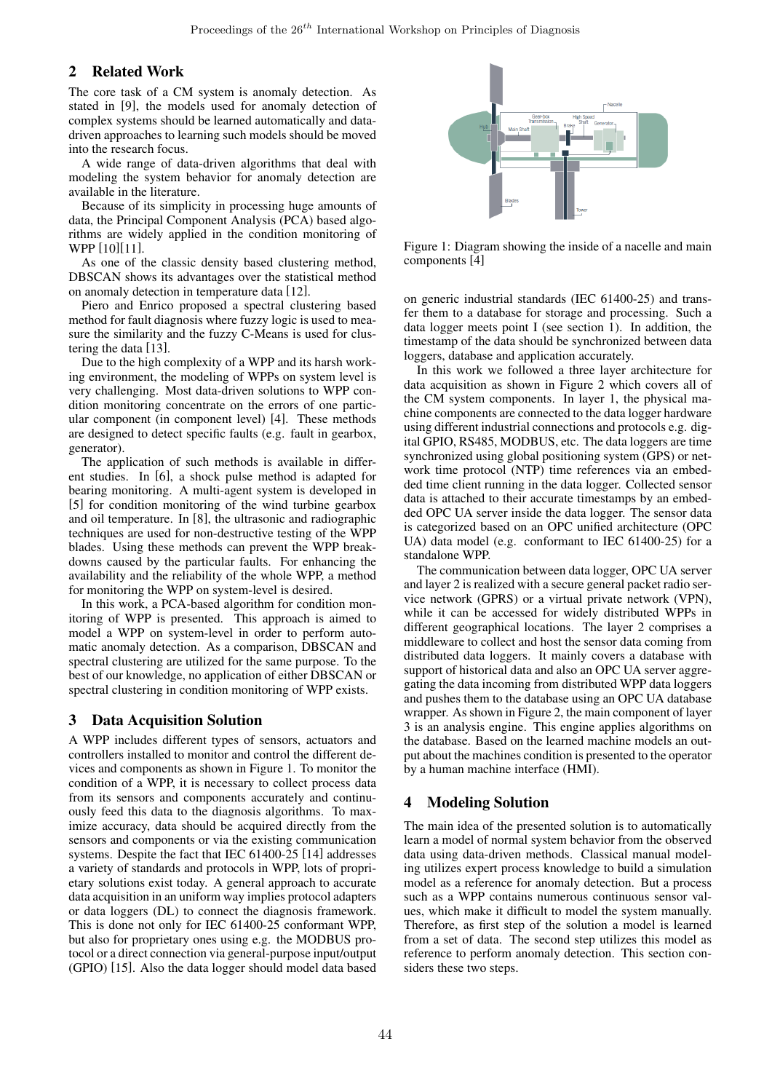## 2 Related Work

The core task of a CM system is anomaly detection. As stated in [9], the models used for anomaly detection of complex systems should be learned automatically and datadriven approaches to learning such models should be moved into the research focus.

A wide range of data-driven algorithms that deal with modeling the system behavior for anomaly detection are available in the literature.

Because of its simplicity in processing huge amounts of data, the Principal Component Analysis (PCA) based algorithms are widely applied in the condition monitoring of WPP [10][11].

As one of the classic density based clustering method, DBSCAN shows its advantages over the statistical method on anomaly detection in temperature data [12].

Piero and Enrico proposed a spectral clustering based method for fault diagnosis where fuzzy logic is used to measure the similarity and the fuzzy C-Means is used for clustering the data [13].

Due to the high complexity of a WPP and its harsh working environment, the modeling of WPPs on system level is very challenging. Most data-driven solutions to WPP condition monitoring concentrate on the errors of one particular component (in component level) [4]. These methods are designed to detect specific faults (e.g. fault in gearbox, generator).

The application of such methods is available in different studies. In [6], a shock pulse method is adapted for bearing monitoring. A multi-agent system is developed in [5] for condition monitoring of the wind turbine gearbox and oil temperature. In [8], the ultrasonic and radiographic techniques are used for non-destructive testing of the WPP blades. Using these methods can prevent the WPP breakdowns caused by the particular faults. For enhancing the availability and the reliability of the whole WPP, a method for monitoring the WPP on system-level is desired.

In this work, a PCA-based algorithm for condition monitoring of WPP is presented. This approach is aimed to model a WPP on system-level in order to perform automatic anomaly detection. As a comparison, DBSCAN and spectral clustering are utilized for the same purpose. To the best of our knowledge, no application of either DBSCAN or spectral clustering in condition monitoring of WPP exists.

### 3 Data Acquisition Solution

A WPP includes different types of sensors, actuators and controllers installed to monitor and control the different devices and components as shown in Figure 1. To monitor the condition of a WPP, it is necessary to collect process data from its sensors and components accurately and continuously feed this data to the diagnosis algorithms. To maximize accuracy, data should be acquired directly from the sensors and components or via the existing communication systems. Despite the fact that IEC 61400-25 [14] addresses a variety of standards and protocols in WPP, lots of proprietary solutions exist today. A general approach to accurate data acquisition in an uniform way implies protocol adapters or data loggers (DL) to connect the diagnosis framework. This is done not only for IEC 61400-25 conformant WPP, but also for proprietary ones using e.g. the MODBUS protocol or a direct connection via general-purpose input/output (GPIO) [15]. Also the data logger should model data based



Figure 1: Diagram showing the inside of a nacelle and main components [4]

on generic industrial standards (IEC 61400-25) and transfer them to a database for storage and processing. Such a data logger meets point I (see section 1). In addition, the timestamp of the data should be synchronized between data loggers, database and application accurately.

In this work we followed a three layer architecture for data acquisition as shown in Figure 2 which covers all of the CM system components. In layer 1, the physical machine components are connected to the data logger hardware using different industrial connections and protocols e.g. digital GPIO, RS485, MODBUS, etc. The data loggers are time synchronized using global positioning system (GPS) or network time protocol (NTP) time references via an embedded time client running in the data logger. Collected sensor data is attached to their accurate timestamps by an embedded OPC UA server inside the data logger. The sensor data is categorized based on an OPC unified architecture (OPC UA) data model (e.g. conformant to IEC 61400-25) for a standalone WPP.

The communication between data logger, OPC UA server and layer 2 is realized with a secure general packet radio service network (GPRS) or a virtual private network (VPN), while it can be accessed for widely distributed WPPs in different geographical locations. The layer 2 comprises a middleware to collect and host the sensor data coming from distributed data loggers. It mainly covers a database with support of historical data and also an OPC UA server aggregating the data incoming from distributed WPP data loggers and pushes them to the database using an OPC UA database wrapper. As shown in Figure 2, the main component of layer 3 is an analysis engine. This engine applies algorithms on the database. Based on the learned machine models an output about the machines condition is presented to the operator by a human machine interface (HMI).

## 4 Modeling Solution

The main idea of the presented solution is to automatically learn a model of normal system behavior from the observed data using data-driven methods. Classical manual modeling utilizes expert process knowledge to build a simulation model as a reference for anomaly detection. But a process such as a WPP contains numerous continuous sensor values, which make it difficult to model the system manually. Therefore, as first step of the solution a model is learned from a set of data. The second step utilizes this model as reference to perform anomaly detection. This section considers these two steps.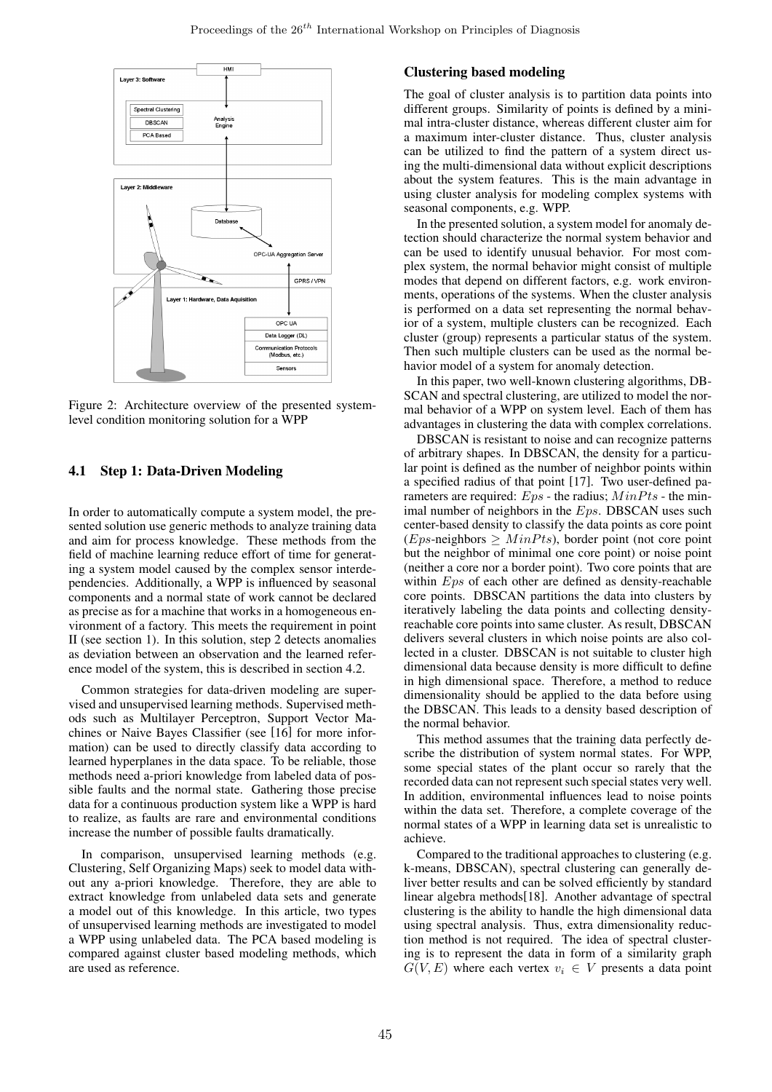

Figure 2: Architecture overview of the presented systemlevel condition monitoring solution for a WPP

## 4.1 Step 1: Data-Driven Modeling

In order to automatically compute a system model, the presented solution use generic methods to analyze training data and aim for process knowledge. These methods from the field of machine learning reduce effort of time for generating a system model caused by the complex sensor interdependencies. Additionally, a WPP is influenced by seasonal components and a normal state of work cannot be declared as precise as for a machine that works in a homogeneous environment of a factory. This meets the requirement in point II (see section 1). In this solution, step 2 detects anomalies as deviation between an observation and the learned reference model of the system, this is described in section 4.2.

Common strategies for data-driven modeling are supervised and unsupervised learning methods. Supervised methods such as Multilayer Perceptron, Support Vector Machines or Naive Bayes Classifier (see [16] for more information) can be used to directly classify data according to learned hyperplanes in the data space. To be reliable, those methods need a-priori knowledge from labeled data of possible faults and the normal state. Gathering those precise data for a continuous production system like a WPP is hard to realize, as faults are rare and environmental conditions increase the number of possible faults dramatically.

In comparison, unsupervised learning methods (e.g. Clustering, Self Organizing Maps) seek to model data without any a-priori knowledge. Therefore, they are able to extract knowledge from unlabeled data sets and generate a model out of this knowledge. In this article, two types of unsupervised learning methods are investigated to model a WPP using unlabeled data. The PCA based modeling is compared against cluster based modeling methods, which are used as reference.

### Clustering based modeling

The goal of cluster analysis is to partition data points into different groups. Similarity of points is defined by a minimal intra-cluster distance, whereas different cluster aim for a maximum inter-cluster distance. Thus, cluster analysis can be utilized to find the pattern of a system direct using the multi-dimensional data without explicit descriptions about the system features. This is the main advantage in using cluster analysis for modeling complex systems with seasonal components, e.g. WPP.

In the presented solution, a system model for anomaly detection should characterize the normal system behavior and can be used to identify unusual behavior. For most complex system, the normal behavior might consist of multiple modes that depend on different factors, e.g. work environments, operations of the systems. When the cluster analysis is performed on a data set representing the normal behavior of a system, multiple clusters can be recognized. Each cluster (group) represents a particular status of the system. Then such multiple clusters can be used as the normal behavior model of a system for anomaly detection.

In this paper, two well-known clustering algorithms, DB-SCAN and spectral clustering, are utilized to model the normal behavior of a WPP on system level. Each of them has advantages in clustering the data with complex correlations.

DBSCAN is resistant to noise and can recognize patterns of arbitrary shapes. In DBSCAN, the density for a particular point is defined as the number of neighbor points within a specified radius of that point [17]. Two user-defined parameters are required:  $Eps$  - the radius;  $MinPts$  - the minimal number of neighbors in the Eps. DBSCAN uses such center-based density to classify the data points as core point  $(Eps-neighbors \geq MinPts)$ , border point (not core point but the neighbor of minimal one core point) or noise point (neither a core nor a border point). Two core points that are within  $Eps$  of each other are defined as density-reachable core points. DBSCAN partitions the data into clusters by iteratively labeling the data points and collecting densityreachable core points into same cluster. As result, DBSCAN delivers several clusters in which noise points are also collected in a cluster. DBSCAN is not suitable to cluster high dimensional data because density is more difficult to define in high dimensional space. Therefore, a method to reduce dimensionality should be applied to the data before using the DBSCAN. This leads to a density based description of the normal behavior.

This method assumes that the training data perfectly describe the distribution of system normal states. For WPP, some special states of the plant occur so rarely that the recorded data can not represent such special states very well. In addition, environmental influences lead to noise points within the data set. Therefore, a complete coverage of the normal states of a WPP in learning data set is unrealistic to achieve.

Compared to the traditional approaches to clustering (e.g. k-means, DBSCAN), spectral clustering can generally deliver better results and can be solved efficiently by standard linear algebra methods[18]. Another advantage of spectral clustering is the ability to handle the high dimensional data using spectral analysis. Thus, extra dimensionality reduction method is not required. The idea of spectral clustering is to represent the data in form of a similarity graph  $G(V, E)$  where each vertex  $v_i \in V$  presents a data point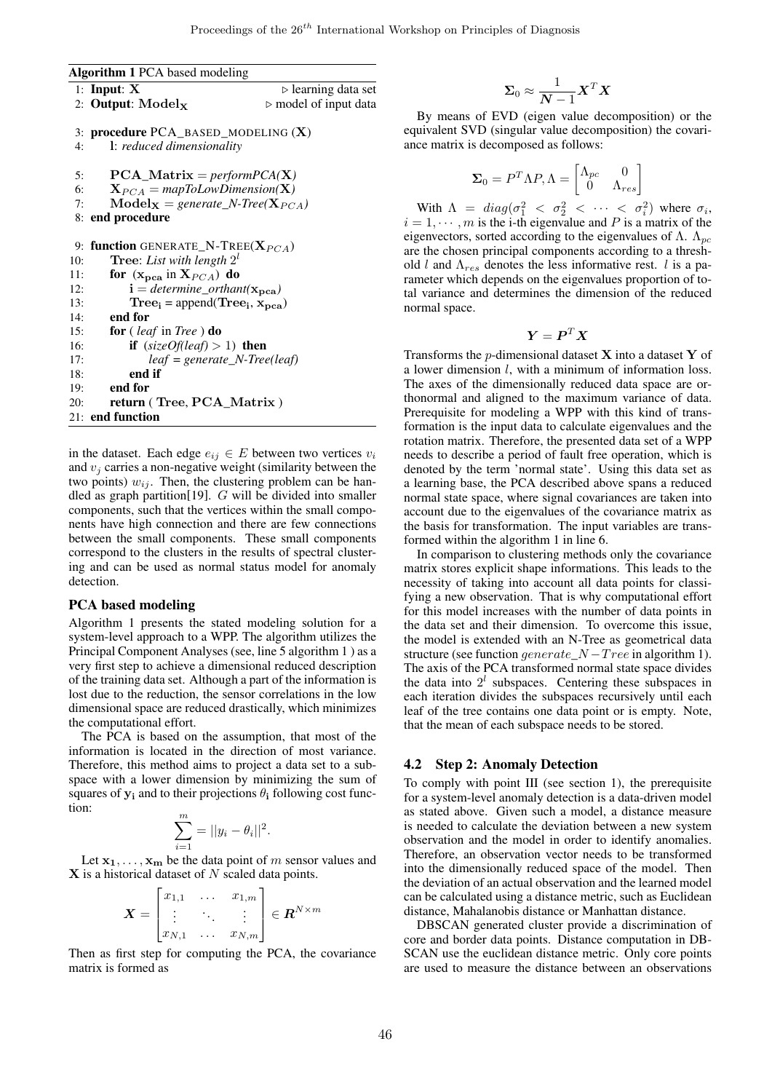```
Algorithm 1 PCA based modeling
```

```
1: Input: X \rightarrow learning data set
 2: Output: Model<sub>x</sub> \triangleright model of input data
 3: procedure PCA_BASED_MODELING (X)
 4: l: reduced dimensionality
 5: PCA_Matrix = performPCA(X)
 6: X_{PCA} = mapToLowDimension(X)<br>7: Model_{X} = generate N-Tree(X_{PC})\text{Model}_{\mathbf{X}} = \text{generate\_N-Tree}(\mathbf{X}_{PCA})8: end procedure
 9: function GENERATE_N-TREE(X_{PCA})
10: Tree: List with length 2^l11: for (\mathbf{x_{pca}} \text{ in } \mathbf{X}_{PCA}) do
12: i = determine\_orthant(x_{\text{pea}})<br>
13: Tree: = append(Tree: x_{\text{pca}})
13: Tree<sub>i</sub> = append(Tree<sub>i</sub>, x_{pca})
14: end for
15: for ( leaf in Tree ) do
16: if (sizeOf(leaf) > 1) then
17: leaf = generate_N-Tree(leaf)
18: end if
19: end for
20: return ( Tree, PCA_Matrix )
21: end function
```
in the dataset. Each edge  $e_{ij} \in E$  between two vertices  $v_i$ and  $v_i$  carries a non-negative weight (similarity between the two points)  $w_{ij}$ . Then, the clustering problem can be handled as graph partition[19].  $G$  will be divided into smaller components, such that the vertices within the small components have high connection and there are few connections between the small components. These small components correspond to the clusters in the results of spectral clustering and can be used as normal status model for anomaly detection.

#### PCA based modeling

Algorithm 1 presents the stated modeling solution for a system-level approach to a WPP. The algorithm utilizes the Principal Component Analyses (see, line 5 algorithm 1 ) as a very first step to achieve a dimensional reduced description of the training data set. Although a part of the information is lost due to the reduction, the sensor correlations in the low dimensional space are reduced drastically, which minimizes the computational effort.

The PCA is based on the assumption, that most of the information is located in the direction of most variance. Therefore, this method aims to project a data set to a subspace with a lower dimension by minimizing the sum of squares of  $y_i$  and to their projections  $\theta_i$  following cost function:

$$
\sum_{i=1}^{m} = ||y_i - \theta_i||^2.
$$

Let  $x_1, \ldots, x_m$  be the data point of m sensor values and  $X$  is a historical dataset of N scaled data points.

$$
\boldsymbol{X} = \begin{bmatrix} x_{1,1} & \cdots & x_{1,m} \\ \vdots & \ddots & \vdots \\ x_{N,1} & \cdots & x_{N,m} \end{bmatrix} \in \boldsymbol{R}^{N \times m}
$$

Then as first step for computing the PCA, the covariance matrix is formed as

$$
\Sigma_0 \approx \frac{1}{N-1} \mathbf{X}^T \mathbf{X}
$$

By means of EVD (eigen value decomposition) or the equivalent SVD (singular value decomposition) the covariance matrix is decomposed as follows:

$$
\pmb{\Sigma}_0 = P^T\Lambda P, \Lambda = \begin{bmatrix} \Lambda_{pc} & 0 \\ 0 & \Lambda_{res} \end{bmatrix}
$$

With  $\Lambda = diag(\sigma_1^2 < \sigma_2^2 < \cdots < \sigma_i^2)$  where  $\sigma_i$ ,  $i = 1, \dots, m$  is the i-th eigenvalue and P is a matrix of the eigenvectors, sorted according to the eigenvalues of  $\Lambda$ .  $\Lambda_{\text{pc}}$ are the chosen principal components according to a threshold l and  $\Lambda_{res}$  denotes the less informative rest. l is a parameter which depends on the eigenvalues proportion of total variance and determines the dimension of the reduced normal space.

$$
\boldsymbol{Y} = \boldsymbol{P}^T\boldsymbol{X}
$$

Transforms the  $p$ -dimensional dataset **X** into a dataset **Y** of a lower dimension l, with a minimum of information loss. The axes of the dimensionally reduced data space are orthonormal and aligned to the maximum variance of data. Prerequisite for modeling a WPP with this kind of transformation is the input data to calculate eigenvalues and the rotation matrix. Therefore, the presented data set of a WPP needs to describe a period of fault free operation, which is denoted by the term 'normal state'. Using this data set as a learning base, the PCA described above spans a reduced normal state space, where signal covariances are taken into account due to the eigenvalues of the covariance matrix as the basis for transformation. The input variables are transformed within the algorithm 1 in line 6.

In comparison to clustering methods only the covariance matrix stores explicit shape informations. This leads to the necessity of taking into account all data points for classifying a new observation. That is why computational effort for this model increases with the number of data points in the data set and their dimension. To overcome this issue, the model is extended with an N-Tree as geometrical data structure (see function generate\_ $N - Tree$  in algorithm 1). The axis of the PCA transformed normal state space divides the data into  $2<sup>l</sup>$  subspaces. Centering these subspaces in each iteration divides the subspaces recursively until each leaf of the tree contains one data point or is empty. Note, that the mean of each subspace needs to be stored.

### 4.2 Step 2: Anomaly Detection

To comply with point III (see section 1), the prerequisite for a system-level anomaly detection is a data-driven model as stated above. Given such a model, a distance measure is needed to calculate the deviation between a new system observation and the model in order to identify anomalies. Therefore, an observation vector needs to be transformed into the dimensionally reduced space of the model. Then the deviation of an actual observation and the learned model can be calculated using a distance metric, such as Euclidean distance, Mahalanobis distance or Manhattan distance.

DBSCAN generated cluster provide a discrimination of core and border data points. Distance computation in DB-SCAN use the euclidean distance metric. Only core points are used to measure the distance between an observations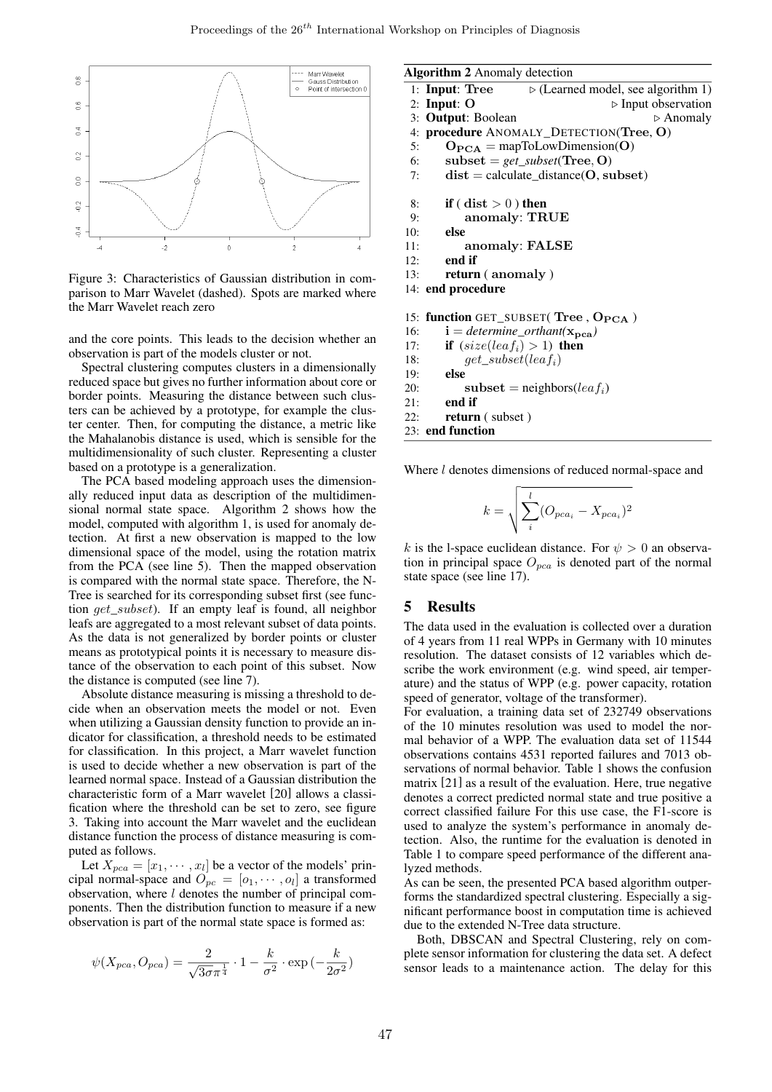

Figure 3: Characteristics of Gaussian distribution in comparison to Marr Wavelet (dashed). Spots are marked where the Marr Wavelet reach zero

and the core points. This leads to the decision whether an observation is part of the models cluster or not.

Spectral clustering computes clusters in a dimensionally reduced space but gives no further information about core or border points. Measuring the distance between such clusters can be achieved by a prototype, for example the cluster center. Then, for computing the distance, a metric like the Mahalanobis distance is used, which is sensible for the multidimensionality of such cluster. Representing a cluster based on a prototype is a generalization.

The PCA based modeling approach uses the dimensionally reduced input data as description of the multidimensional normal state space. Algorithm 2 shows how the model, computed with algorithm 1, is used for anomaly detection. At first a new observation is mapped to the low dimensional space of the model, using the rotation matrix from the PCA (see line 5). Then the mapped observation is compared with the normal state space. Therefore, the N-Tree is searched for its corresponding subset first (see function get\_subset). If an empty leaf is found, all neighbor leafs are aggregated to a most relevant subset of data points. As the data is not generalized by border points or cluster means as prototypical points it is necessary to measure distance of the observation to each point of this subset. Now the distance is computed (see line 7).

Absolute distance measuring is missing a threshold to decide when an observation meets the model or not. Even when utilizing a Gaussian density function to provide an indicator for classification, a threshold needs to be estimated for classification. In this project, a Marr wavelet function is used to decide whether a new observation is part of the learned normal space. Instead of a Gaussian distribution the characteristic form of a Marr wavelet [20] allows a classification where the threshold can be set to zero, see figure 3. Taking into account the Marr wavelet and the euclidean distance function the process of distance measuring is computed as follows.

Let  $X_{pca} = [x_1, \dots, x_l]$  be a vector of the models' principal normal-space and  $O_{pc} = [o_1, \dots, o_l]$  a transformed observation, where l denotes the number of principal components. Then the distribution function to measure if a new observation is part of the normal state space is formed as:

$$
\psi(X_{pca}, O_{pca}) = \frac{2}{\sqrt{3\sigma}\pi^{\frac{1}{4}}} \cdot 1 - \frac{k}{\sigma^2} \cdot \exp\left(-\frac{k}{2\sigma^2}\right)
$$

#### Algorithm 2 Anomaly detection

```
1: Input: Tree \triangleright (Learned model, see algorithm 1)<br>2: Input: O \triangleright Input observation
                                             \triangleright Input observation
 3: Output: Boolean \triangleright Anomaly
 4: procedure ANOMALY_DETECTION(Tree, O)
 5: O_{\text{PCA}} = \text{mapToLowDimension}(O)6: subset = get_subset(Tree, O)
 7: dist = calculate_distance(O, subset)
 8: if (dist > 0) then<br>9: anomaly: TR
             anomaly: TRUE
10: else
11: anomaly: FALSE
12: end if
13: return ( anomaly )
14: end procedure
15: function GET_SUBSET(Tree, O<sub>PCA</sub>)
16: i = determine_orthant(\mathbf{x_{pca}})<br>17: if (size(leaf_i) > 1) then
17: if (size(leaf_i) > 1) then<br>18: aet subset(leaf<sub>i</sub>)
18: get\_subset(leaf_i)<br>19: else
```
19: **else**<br>20: 20: subset = neighbors( $leaf_i$ )<br>21: **end if** 

end if

22: return ( subset )

23: end function

Where *l* denotes dimensions of reduced normal-space and

$$
k = \sqrt{\sum_{i}^{l} (O_{pca_i} - X_{pca_i})^2}
$$

k is the l-space euclidean distance. For  $\psi > 0$  an observation in principal space  $O_{pca}$  is denoted part of the normal state space (see line 17).

### 5 Results

The data used in the evaluation is collected over a duration of 4 years from 11 real WPPs in Germany with 10 minutes resolution. The dataset consists of 12 variables which describe the work environment (e.g. wind speed, air temperature) and the status of WPP (e.g. power capacity, rotation speed of generator, voltage of the transformer).

For evaluation, a training data set of 232749 observations of the 10 minutes resolution was used to model the normal behavior of a WPP. The evaluation data set of 11544 observations contains 4531 reported failures and 7013 observations of normal behavior. Table 1 shows the confusion matrix [21] as a result of the evaluation. Here, true negative denotes a correct predicted normal state and true positive a correct classified failure For this use case, the F1-score is used to analyze the system's performance in anomaly detection. Also, the runtime for the evaluation is denoted in Table 1 to compare speed performance of the different analyzed methods.

As can be seen, the presented PCA based algorithm outperforms the standardized spectral clustering. Especially a significant performance boost in computation time is achieved due to the extended N-Tree data structure.

Both, DBSCAN and Spectral Clustering, rely on complete sensor information for clustering the data set. A defect sensor leads to a maintenance action. The delay for this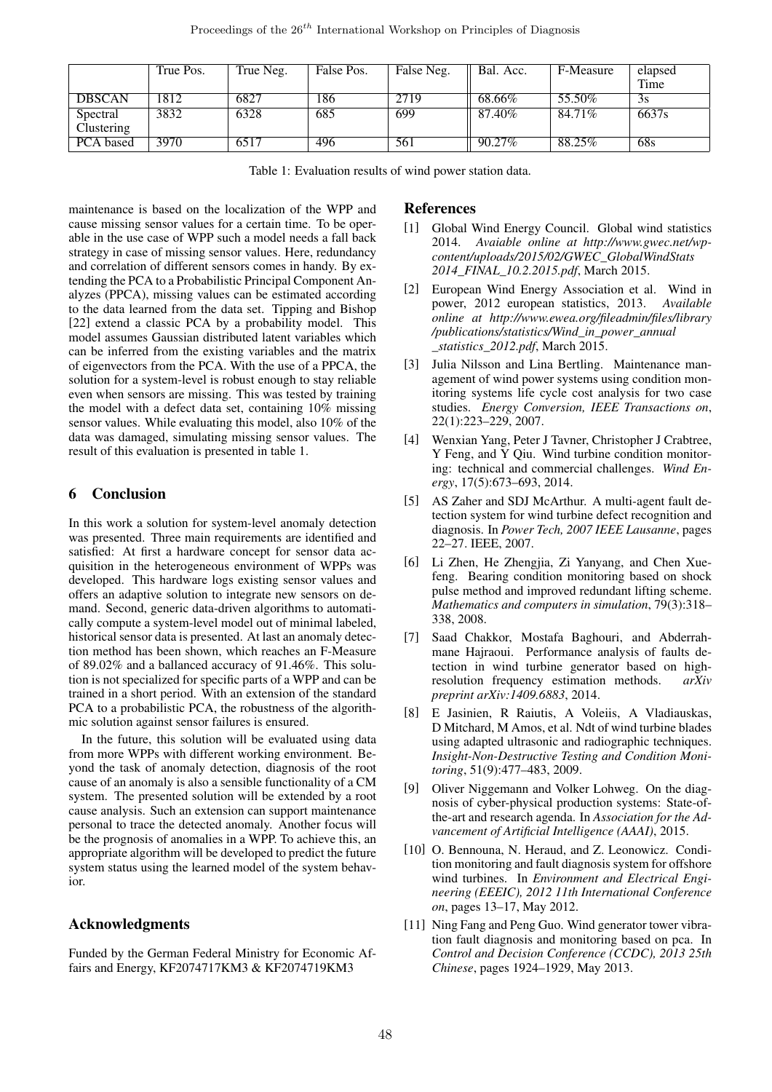|               | True Pos. | True Neg. | False Pos. | False Neg. | Bal. Acc. | F-Measure | elapsed<br>Time |
|---------------|-----------|-----------|------------|------------|-----------|-----------|-----------------|
| <b>DBSCAN</b> | 1812      | 6827      | 186        | 2719       | 68.66%    | 55.50%    | 3s              |
| Spectral      | 3832      | 6328      | 685        | 699        | 87.40%    | 84.71%    | 6637s           |
| Clustering    |           |           |            |            |           |           |                 |
| PCA based     | 3970      | 6517      | 496        | 561        | 90.27%    | 88.25%    | 68s             |

Table 1: Evaluation results of wind power station data.

maintenance is based on the localization of the WPP and cause missing sensor values for a certain time. To be operable in the use case of WPP such a model needs a fall back strategy in case of missing sensor values. Here, redundancy and correlation of different sensors comes in handy. By extending the PCA to a Probabilistic Principal Component Analyzes (PPCA), missing values can be estimated according to the data learned from the data set. Tipping and Bishop [22] extend a classic PCA by a probability model. This model assumes Gaussian distributed latent variables which can be inferred from the existing variables and the matrix of eigenvectors from the PCA. With the use of a PPCA, the solution for a system-level is robust enough to stay reliable even when sensors are missing. This was tested by training the model with a defect data set, containing 10% missing sensor values. While evaluating this model, also 10% of the data was damaged, simulating missing sensor values. The result of this evaluation is presented in table 1.

## 6 Conclusion

In this work a solution for system-level anomaly detection was presented. Three main requirements are identified and satisfied: At first a hardware concept for sensor data acquisition in the heterogeneous environment of WPPs was developed. This hardware logs existing sensor values and offers an adaptive solution to integrate new sensors on demand. Second, generic data-driven algorithms to automatically compute a system-level model out of minimal labeled, historical sensor data is presented. At last an anomaly detection method has been shown, which reaches an F-Measure of 89.02% and a ballanced accuracy of 91.46%. This solution is not specialized for specific parts of a WPP and can be trained in a short period. With an extension of the standard PCA to a probabilistic PCA, the robustness of the algorithmic solution against sensor failures is ensured.

In the future, this solution will be evaluated using data from more WPPs with different working environment. Beyond the task of anomaly detection, diagnosis of the root cause of an anomaly is also a sensible functionality of a CM system. The presented solution will be extended by a root cause analysis. Such an extension can support maintenance personal to trace the detected anomaly. Another focus will be the prognosis of anomalies in a WPP. To achieve this, an appropriate algorithm will be developed to predict the future system status using the learned model of the system behavior.

## Acknowledgments

Funded by the German Federal Ministry for Economic Affairs and Energy, KF2074717KM3 & KF2074719KM3

## References

- [1] Global Wind Energy Council. Global wind statistics 2014. *Avaiable online at http://www.gwec.net/wpcontent/uploads/2015/02/GWEC\_GlobalWindStats 2014\_FINAL\_10.2.2015.pdf*, March 2015.
- [2] European Wind Energy Association et al. Wind in power, 2012 european statistics, 2013. *Available online at http://www.ewea.org/fileadmin/files/library /publications/statistics/Wind\_in\_power\_annual \_statistics\_2012.pdf*, March 2015.
- [3] Julia Nilsson and Lina Bertling. Maintenance management of wind power systems using condition monitoring systems life cycle cost analysis for two case studies. *Energy Conversion, IEEE Transactions on*, 22(1):223–229, 2007.
- [4] Wenxian Yang, Peter J Tavner, Christopher J Crabtree, Y Feng, and Y Qiu. Wind turbine condition monitoring: technical and commercial challenges. *Wind Energy*, 17(5):673–693, 2014.
- [5] AS Zaher and SDJ McArthur. A multi-agent fault detection system for wind turbine defect recognition and diagnosis. In *Power Tech, 2007 IEEE Lausanne*, pages 22–27. IEEE, 2007.
- [6] Li Zhen, He Zhengjia, Zi Yanyang, and Chen Xuefeng. Bearing condition monitoring based on shock pulse method and improved redundant lifting scheme. *Mathematics and computers in simulation*, 79(3):318– 338, 2008.
- [7] Saad Chakkor, Mostafa Baghouri, and Abderrahmane Hajraoui. Performance analysis of faults detection in wind turbine generator based on highresolution frequency estimation methods. *arXiv preprint arXiv:1409.6883*, 2014.
- [8] E Jasinien, R Raiutis, A Voleiis, A Vladiauskas, D Mitchard, M Amos, et al. Ndt of wind turbine blades using adapted ultrasonic and radiographic techniques. *Insight-Non-Destructive Testing and Condition Monitoring*, 51(9):477–483, 2009.
- [9] Oliver Niggemann and Volker Lohweg. On the diagnosis of cyber-physical production systems: State-ofthe-art and research agenda. In *Association for the Advancement of Artificial Intelligence (AAAI)*, 2015.
- [10] O. Bennouna, N. Heraud, and Z. Leonowicz. Condition monitoring and fault diagnosis system for offshore wind turbines. In *Environment and Electrical Engineering (EEEIC), 2012 11th International Conference on*, pages 13–17, May 2012.
- [11] Ning Fang and Peng Guo. Wind generator tower vibration fault diagnosis and monitoring based on pca. In *Control and Decision Conference (CCDC), 2013 25th Chinese*, pages 1924–1929, May 2013.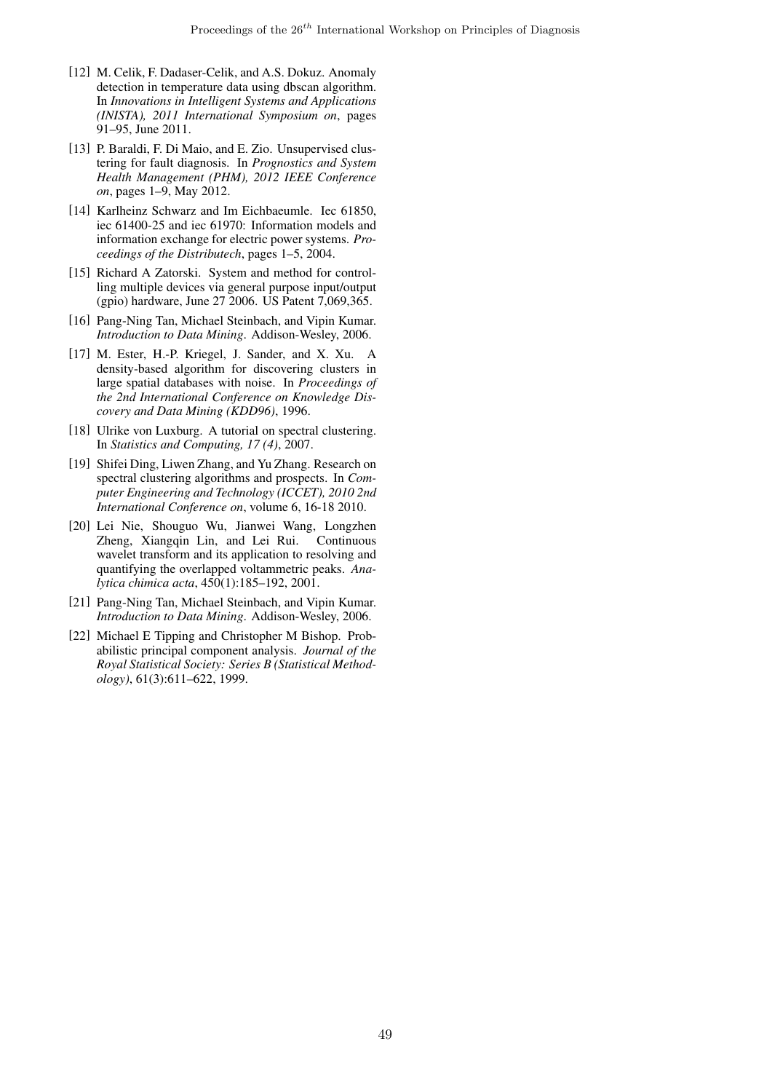- [12] M. Celik, F. Dadaser-Celik, and A.S. Dokuz. Anomaly detection in temperature data using dbscan algorithm. In *Innovations in Intelligent Systems and Applications (INISTA), 2011 International Symposium on*, pages 91–95, June 2011.
- [13] P. Baraldi, F. Di Maio, and E. Zio. Unsupervised clustering for fault diagnosis. In *Prognostics and System Health Management (PHM), 2012 IEEE Conference on*, pages 1–9, May 2012.
- [14] Karlheinz Schwarz and Im Eichbaeumle. Iec 61850, iec 61400-25 and iec 61970: Information models and information exchange for electric power systems. *Proceedings of the Distributech*, pages 1–5, 2004.
- [15] Richard A Zatorski. System and method for controlling multiple devices via general purpose input/output (gpio) hardware, June 27 2006. US Patent 7,069,365.
- [16] Pang-Ning Tan, Michael Steinbach, and Vipin Kumar. *Introduction to Data Mining*. Addison-Wesley, 2006.
- [17] M. Ester, H.-P. Kriegel, J. Sander, and X. Xu. A density-based algorithm for discovering clusters in large spatial databases with noise. In *Proceedings of the 2nd International Conference on Knowledge Discovery and Data Mining (KDD96)*, 1996.
- [18] Ulrike von Luxburg. A tutorial on spectral clustering. In *Statistics and Computing, 17 (4)*, 2007.
- [19] Shifei Ding, Liwen Zhang, and Yu Zhang. Research on spectral clustering algorithms and prospects. In *Computer Engineering and Technology (ICCET), 2010 2nd International Conference on*, volume 6, 16-18 2010.
- [20] Lei Nie, Shouguo Wu, Jianwei Wang, Longzhen Zheng, Xiangqin Lin, and Lei Rui. Continuous wavelet transform and its application to resolving and quantifying the overlapped voltammetric peaks. *Analytica chimica acta*, 450(1):185–192, 2001.
- [21] Pang-Ning Tan, Michael Steinbach, and Vipin Kumar. *Introduction to Data Mining*. Addison-Wesley, 2006.
- [22] Michael E Tipping and Christopher M Bishop. Probabilistic principal component analysis. *Journal of the Royal Statistical Society: Series B (Statistical Methodology)*, 61(3):611–622, 1999.